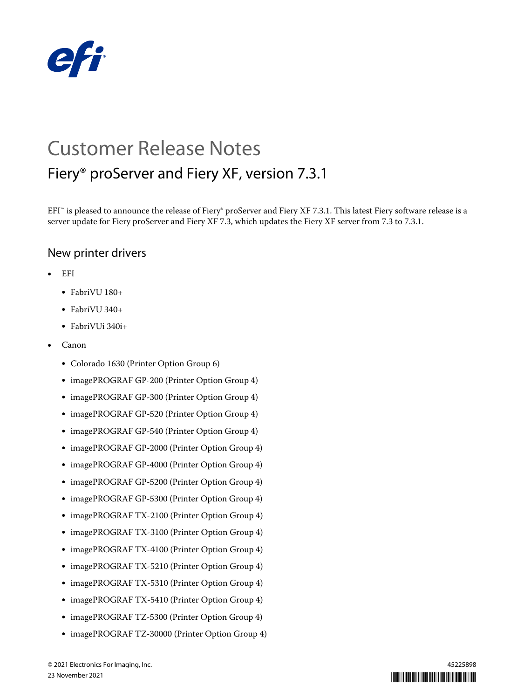

# Customer Release Notes Fiery® proServer and Fiery XF, version 7.3.1

EFI<sup>™</sup> is pleased to announce the release of Fiery® proServer and Fiery XF 7.3.1. This latest Fiery software release is a server update for Fiery proServer and Fiery XF 7.3, which updates the Fiery XF server from 7.3 to 7.3.1.

## New printer drivers

- **•** EFI
	- **•** FabriVU 180+
	- **•** FabriVU 340+
	- **•** FabriVUi 340i+
- **•** Canon
	- **•** Colorado 1630 (Printer Option Group 6)
	- **•** imagePROGRAF GP-200 (Printer Option Group 4)
	- **•** imagePROGRAF GP-300 (Printer Option Group 4)
	- **•** imagePROGRAF GP-520 (Printer Option Group 4)
	- **•** imagePROGRAF GP-540 (Printer Option Group 4)
	- **•** imagePROGRAF GP-2000 (Printer Option Group 4)
	- **•** imagePROGRAF GP-4000 (Printer Option Group 4)
	- **•** imagePROGRAF GP-5200 (Printer Option Group 4)
	- **•** imagePROGRAF GP-5300 (Printer Option Group 4)
	- **•** imagePROGRAF TX-2100 (Printer Option Group 4)
	- **•** imagePROGRAF TX-3100 (Printer Option Group 4)
	- **•** imagePROGRAF TX-4100 (Printer Option Group 4)
	- **•** imagePROGRAF TX-5210 (Printer Option Group 4)
	- **•** imagePROGRAF TX-5310 (Printer Option Group 4)
	- **•** imagePROGRAF TX-5410 (Printer Option Group 4)
	- **•** imagePROGRAF TZ-5300 (Printer Option Group 4)
	- **•** imagePROGRAF TZ-30000 (Printer Option Group 4)

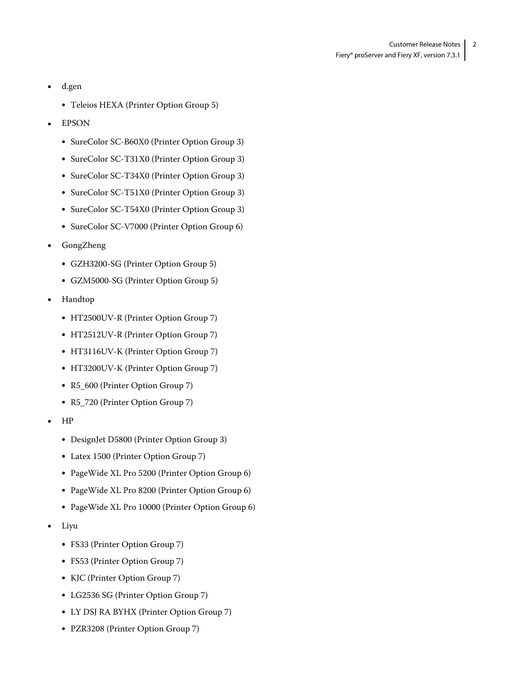- **•** d.gen
	- **•** Teleios HEXA (Printer Option Group 5)
- **•** EPSON
	- **•** SureColor SC-B60X0 (Printer Option Group 3)
	- **•** SureColor SC-T31X0 (Printer Option Group 3)
	- **•** SureColor SC-T34X0 (Printer Option Group 3)
	- **•** SureColor SC-T51X0 (Printer Option Group 3)
	- **•** SureColor SC-T54X0 (Printer Option Group 3)
	- **•** SureColor SC-V7000 (Printer Option Group 6)
- **•** GongZheng
	- **•** GZH3200-SG (Printer Option Group 5)
	- **•** GZM5000-SG (Printer Option Group 5)
- **•** Handtop
	- **•** HT2500UV-R (Printer Option Group 7)
	- **•** HT2512UV-R (Printer Option Group 7)
	- **•** HT3116UV-K (Printer Option Group 7)
	- **•** HT3200UV-K (Printer Option Group 7)
	- **•** R5\_600 (Printer Option Group 7)
	- **•** R5\_720 (Printer Option Group 7)
- **•** HP
	- **•** DesignJet D5800 (Printer Option Group 3)
	- **•** Latex 1500 (Printer Option Group 7)
	- **•** PageWide XL Pro 5200 (Printer Option Group 6)
	- **•** PageWide XL Pro 8200 (Printer Option Group 6)
	- **•** PageWide XL Pro 10000 (Printer Option Group 6)
- **•** Liyu
	- **•** FS33 (Printer Option Group 7)
	- **•** FS53 (Printer Option Group 7)
	- **•** KJC (Printer Option Group 7)
	- **•** LG2536 SG (Printer Option Group 7)
	- **•** LY DSJ RA BYHX (Printer Option Group 7)
	- **•** PZR3208 (Printer Option Group 7)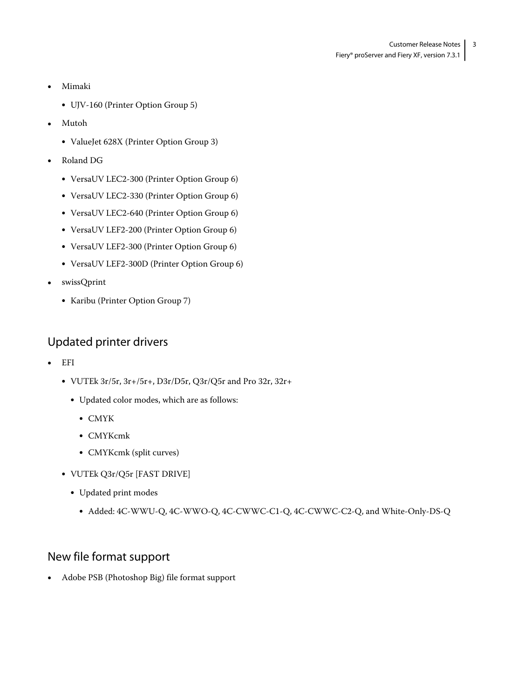- **•** Mimaki
	- **•** UJV-160 (Printer Option Group 5)
- **•** Mutoh
	- **•** ValueJet 628X (Printer Option Group 3)
- **•** Roland DG
	- **•** VersaUV LEC2-300 (Printer Option Group 6)
	- **•** VersaUV LEC2-330 (Printer Option Group 6)
	- **•** VersaUV LEC2-640 (Printer Option Group 6)
	- **•** VersaUV LEF2-200 (Printer Option Group 6)
	- **•** VersaUV LEF2-300 (Printer Option Group 6)
	- **•** VersaUV LEF2-300D (Printer Option Group 6)
- **•** swissQprint
	- **•** Karibu (Printer Option Group 7)

# Updated printer drivers

- **•** EFI
	- **•** VUTEk 3r/5r, 3r+/5r+, D3r/D5r, Q3r/Q5r and Pro 32r, 32r+
		- **•** Updated color modes, which are as follows:
			- **•** CMYK
			- **•** CMYKcmk
			- **•** CMYKcmk (split curves)
	- **•** VUTEk Q3r/Q5r [FAST DRIVE]
		- **•** Updated print modes
			- **•** Added: 4C-WWU-Q, 4C-WWO-Q, 4C-CWWC-C1-Q, 4C-CWWC-C2-Q, and White-Only-DS-Q

# New file format support

**•** Adobe PSB (Photoshop Big) file format support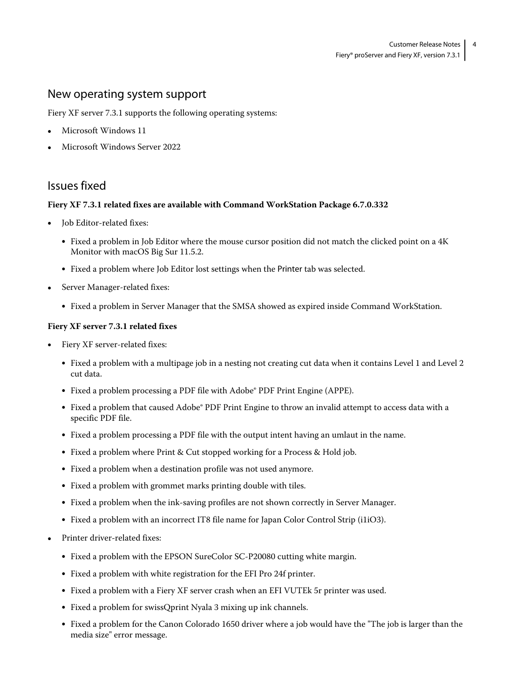### New operating system support

Fiery XF server 7.3.1 supports the following operating systems:

- **•** Microsoft Windows 11
- **•** Microsoft Windows Server 2022

## Issues fixed

#### **Fiery XF 7.3.1 related fixes are available with Command WorkStation Package 6.7.0.332**

- **•** Job Editor-related fixes:
	- **•** Fixed a problem in Job Editor where the mouse cursor position did not match the clicked point on a 4K Monitor with macOS Big Sur 11.5.2.
	- **•** Fixed a problem where Job Editor lost settings when the Printer tab was selected.
- **•** Server Manager-related fixes:
	- **•** Fixed a problem in Server Manager that the SMSA showed as expired inside Command WorkStation.

#### **Fiery XF server 7.3.1 related fixes**

- **•** Fiery XF server-related fixes:
	- **•** Fixed a problem with a multipage job in a nesting not creating cut data when it contains Level 1 and Level 2 cut data.
	- **•** Fixed a problem processing a PDF file with Adobe® PDF Print Engine (APPE).
	- **•** Fixed a problem that caused Adobe® PDF Print Engine to throw an invalid attempt to access data with a specific PDF file.
	- **•** Fixed a problem processing a PDF file with the output intent having an umlaut in the name.
	- **•** Fixed a problem where Print & Cut stopped working for a Process & Hold job.
	- **•** Fixed a problem when a destination profile was not used anymore.
	- **•** Fixed a problem with grommet marks printing double with tiles.
	- **•** Fixed a problem when the ink-saving profiles are not shown correctly in Server Manager.
	- **•** Fixed a problem with an incorrect IT8 file name for Japan Color Control Strip (i1iO3).
- **•** Printer driver-related fixes:
	- **•** Fixed a problem with the EPSON SureColor SC-P20080 cutting white margin.
	- **•** Fixed a problem with white registration for the EFI Pro 24f printer.
	- **•** Fixed a problem with a Fiery XF server crash when an EFI VUTEk 5r printer was used.
	- **•** Fixed a problem for swissQprint Nyala 3 mixing up ink channels.
	- **•** Fixed a problem for the Canon Colorado 1650 driver where a job would have the "The job is larger than the media size" error message.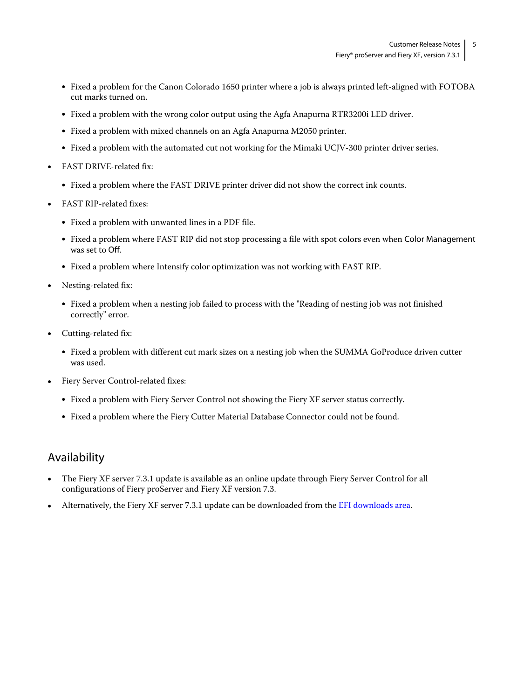- **•** Fixed a problem for the Canon Colorado 1650 printer where a job is always printed left-aligned with FOTOBA cut marks turned on.
- **•** Fixed a problem with the wrong color output using the Agfa Anapurna RTR3200i LED driver.
- **•** Fixed a problem with mixed channels on an Agfa Anapurna M2050 printer.
- **•** Fixed a problem with the automated cut not working for the Mimaki UCJV-300 printer driver series.
- **•** FAST DRIVE-related fix:
	- **•** Fixed a problem where the FAST DRIVE printer driver did not show the correct ink counts.
- **•** FAST RIP-related fixes:
	- **•** Fixed a problem with unwanted lines in a PDF file.
	- **•** Fixed a problem where FAST RIP did not stop processing a file with spot colors even when Color Management was set to Off.
	- **•** Fixed a problem where Intensify color optimization was not working with FAST RIP.
- **•** Nesting-related fix:
	- **•** Fixed a problem when a nesting job failed to process with the "Reading of nesting job was not finished correctly" error.
- **•** Cutting-related fix:
	- **•** Fixed a problem with different cut mark sizes on a nesting job when the SUMMA GoProduce driven cutter was used.
- **•** Fiery Server Control-related fixes:
	- **•** Fixed a problem with Fiery Server Control not showing the Fiery XF server status correctly.
	- **•** Fixed a problem where the Fiery Cutter Material Database Connector could not be found.

## Availability

- **•** The Fiery XF server 7.3.1 update is available as an online update through Fiery Server Control for all configurations of Fiery proServer and Fiery XF version 7.3.
- **•** Alternatively, the Fiery XF server 7.3.1 update can be downloaded from the [EFI downloads area](http://www.efi.com/products/inkjet-printing-and-proofing/fiery-for-inkjet/fiery-xf/download/).